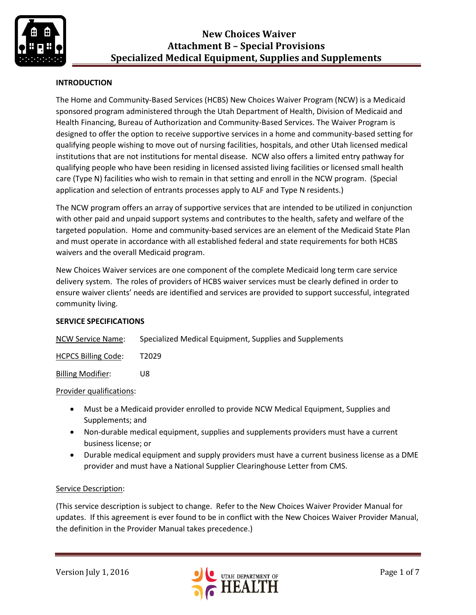

## **INTRODUCTION**

The Home and Community-Based Services (HCBS) New Choices Waiver Program (NCW) is a Medicaid sponsored program administered through the Utah Department of Health, Division of Medicaid and Health Financing, Bureau of Authorization and Community-Based Services. The Waiver Program is designed to offer the option to receive supportive services in a home and community-based setting for qualifying people wishing to move out of nursing facilities, hospitals, and other Utah licensed medical institutions that are not institutions for mental disease. NCW also offers a limited entry pathway for qualifying people who have been residing in licensed assisted living facilities or licensed small health care (Type N) facilities who wish to remain in that setting and enroll in the NCW program. (Special application and selection of entrants processes apply to ALF and Type N residents.)

The NCW program offers an array of supportive services that are intended to be utilized in conjunction with other paid and unpaid support systems and contributes to the health, safety and welfare of the targeted population. Home and community-based services are an element of the Medicaid State Plan and must operate in accordance with all established federal and state requirements for both HCBS waivers and the overall Medicaid program.

New Choices Waiver services are one component of the complete Medicaid long term care service delivery system. The roles of providers of HCBS waiver services must be clearly defined in order to ensure waiver clients' needs are identified and services are provided to support successful, integrated community living.

## **SERVICE SPECIFICATIONS**

| <b>NCW Service Name:</b> | Specialized Medical Equipment, Supplies and Supplements |  |
|--------------------------|---------------------------------------------------------|--|
|                          |                                                         |  |

HCPCS Billing Code: T2029

Billing Modifier: U8

#### Provider qualifications:

- Must be a Medicaid provider enrolled to provide NCW Medical Equipment, Supplies and Supplements; and
- Non-durable medical equipment, supplies and supplements providers must have a current business license; or
- Durable medical equipment and supply providers must have a current business license as a DME provider and must have a National Supplier Clearinghouse Letter from CMS.

#### Service Description:

(This service description is subject to change. Refer to the New Choices Waiver Provider Manual for updates. If this agreement is ever found to be in conflict with the New Choices Waiver Provider Manual, the definition in the Provider Manual takes precedence.)

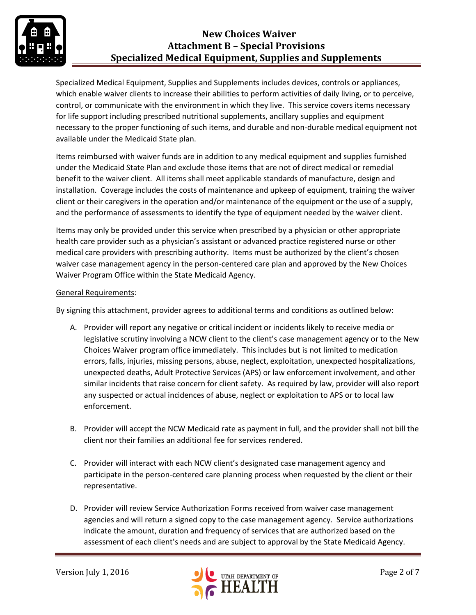

## **New Choices Waiver Attachment B – Special Provisions Specialized Medical Equipment, Supplies and Supplements**

Specialized Medical Equipment, Supplies and Supplements includes devices, controls or appliances, which enable waiver clients to increase their abilities to perform activities of daily living, or to perceive, control, or communicate with the environment in which they live. This service covers items necessary for life support including prescribed nutritional supplements, ancillary supplies and equipment necessary to the proper functioning of such items, and durable and non-durable medical equipment not available under the Medicaid State plan.

Items reimbursed with waiver funds are in addition to any medical equipment and supplies furnished under the Medicaid State Plan and exclude those items that are not of direct medical or remedial benefit to the waiver client. All items shall meet applicable standards of manufacture, design and installation. Coverage includes the costs of maintenance and upkeep of equipment, training the waiver client or their caregivers in the operation and/or maintenance of the equipment or the use of a supply, and the performance of assessments to identify the type of equipment needed by the waiver client.

Items may only be provided under this service when prescribed by a physician or other appropriate health care provider such as a physician's assistant or advanced practice registered nurse or other medical care providers with prescribing authority. Items must be authorized by the client's chosen waiver case management agency in the person-centered care plan and approved by the New Choices Waiver Program Office within the State Medicaid Agency.

## General Requirements:

By signing this attachment, provider agrees to additional terms and conditions as outlined below:

- A. Provider will report any negative or critical incident or incidents likely to receive media or legislative scrutiny involving a NCW client to the client's case management agency or to the New Choices Waiver program office immediately. This includes but is not limited to medication errors, falls, injuries, missing persons, abuse, neglect, exploitation, unexpected hospitalizations, unexpected deaths, Adult Protective Services (APS) or law enforcement involvement, and other similar incidents that raise concern for client safety. As required by law, provider will also report any suspected or actual incidences of abuse, neglect or exploitation to APS or to local law enforcement.
- B. Provider will accept the NCW Medicaid rate as payment in full, and the provider shall not bill the client nor their families an additional fee for services rendered.
- C. Provider will interact with each NCW client's designated case management agency and participate in the person-centered care planning process when requested by the client or their representative.
- D. Provider will review Service Authorization Forms received from waiver case management agencies and will return a signed copy to the case management agency. Service authorizations indicate the amount, duration and frequency of services that are authorized based on the assessment of each client's needs and are subject to approval by the State Medicaid Agency.

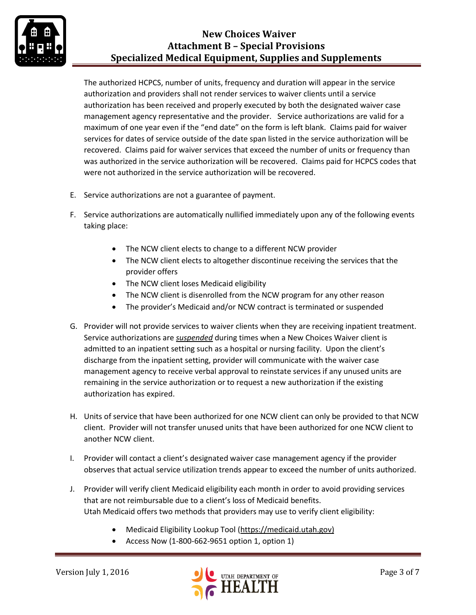

## **New Choices Waiver Attachment B – Special Provisions Specialized Medical Equipment, Supplies and Supplements**

The authorized HCPCS, number of units, frequency and duration will appear in the service authorization and providers shall not render services to waiver clients until a service authorization has been received and properly executed by both the designated waiver case management agency representative and the provider. Service authorizations are valid for a maximum of one year even if the "end date" on the form is left blank. Claims paid for waiver services for dates of service outside of the date span listed in the service authorization will be recovered. Claims paid for waiver services that exceed the number of units or frequency than was authorized in the service authorization will be recovered. Claims paid for HCPCS codes that were not authorized in the service authorization will be recovered.

- E. Service authorizations are not a guarantee of payment.
- F. Service authorizations are automatically nullified immediately upon any of the following events taking place:
	- The NCW client elects to change to a different NCW provider
	- The NCW client elects to altogether discontinue receiving the services that the provider offers
	- The NCW client loses Medicaid eligibility
	- The NCW client is disenrolled from the NCW program for any other reason
	- The provider's Medicaid and/or NCW contract is terminated or suspended
- G. Provider will not provide services to waiver clients when they are receiving inpatient treatment. Service authorizations are *suspended* during times when a New Choices Waiver client is admitted to an inpatient setting such as a hospital or nursing facility. Upon the client's discharge from the inpatient setting, provider will communicate with the waiver case management agency to receive verbal approval to reinstate services if any unused units are remaining in the service authorization or to request a new authorization if the existing authorization has expired.
- H. Units of service that have been authorized for one NCW client can only be provided to that NCW client. Provider will not transfer unused units that have been authorized for one NCW client to another NCW client.
- I. Provider will contact a client's designated waiver case management agency if the provider observes that actual service utilization trends appear to exceed the number of units authorized.
- J. Provider will verify client Medicaid eligibility each month in order to avoid providing services that are not reimbursable due to a client's loss of Medicaid benefits. Utah Medicaid offers two methods that providers may use to verify client eligibility:
	- Medicaid Eligibility Lookup Tool [\(https://medicaid.utah.gov\)](https://medicaid.utah.gov/)
	- Access Now (1-800-662-9651 option 1, option 1)

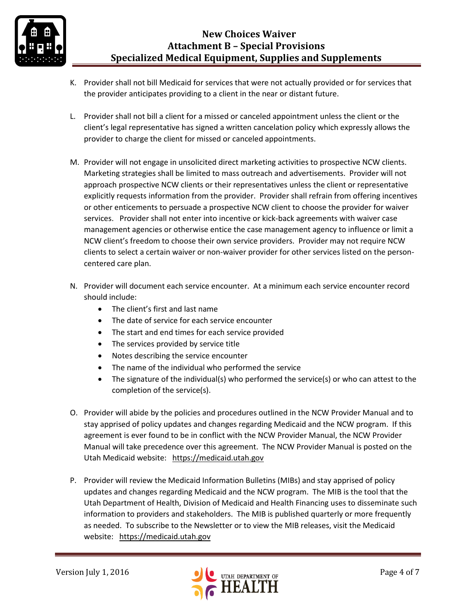- K. Provider shall not bill Medicaid for services that were not actually provided or for services that the provider anticipates providing to a client in the near or distant future.
- L. Provider shall not bill a client for a missed or canceled appointment unless the client or the client's legal representative has signed a written cancelation policy which expressly allows the provider to charge the client for missed or canceled appointments.
- M. Provider will not engage in unsolicited direct marketing activities to prospective NCW clients. Marketing strategies shall be limited to mass outreach and advertisements. Provider will not approach prospective NCW clients or their representatives unless the client or representative explicitly requests information from the provider. Provider shall refrain from offering incentives or other enticements to persuade a prospective NCW client to choose the provider for waiver services. Provider shall not enter into incentive or kick-back agreements with waiver case management agencies or otherwise entice the case management agency to influence or limit a NCW client's freedom to choose their own service providers. Provider may not require NCW clients to select a certain waiver or non-waiver provider for other services listed on the personcentered care plan.
- N. Provider will document each service encounter. At a minimum each service encounter record should include:
	- The client's first and last name
	- The date of service for each service encounter
	- The start and end times for each service provided
	- The services provided by service title
	- Notes describing the service encounter
	- The name of the individual who performed the service
	- The signature of the individual(s) who performed the service(s) or who can attest to the completion of the service(s).
- O. Provider will abide by the policies and procedures outlined in the NCW Provider Manual and to stay apprised of policy updates and changes regarding Medicaid and the NCW program. If this agreement is ever found to be in conflict with the NCW Provider Manual, the NCW Provider Manual will take precedence over this agreement. The NCW Provider Manual is posted on the Utah Medicaid website: [https://medicaid.utah.gov](https://medicaid.utah.gov/)
- P. Provider will review the Medicaid Information Bulletins (MIBs) and stay apprised of policy updates and changes regarding Medicaid and the NCW program. The MIB is the tool that the Utah Department of Health, Division of Medicaid and Health Financing uses to disseminate such information to providers and stakeholders. The MIB is published quarterly or more frequently as needed. To subscribe to the Newsletter or to view the MIB releases, visit the Medicaid website: [https://medicaid.utah.gov](https://medicaid.utah.gov/)

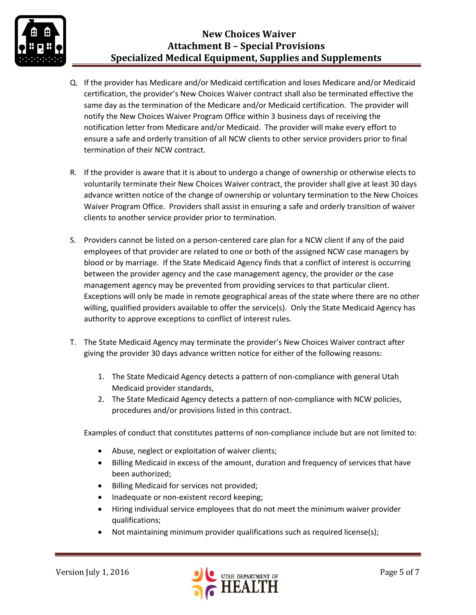

- Q. If the provider has Medicare and/or Medicaid certification and loses Medicare and/or Medicaid certification, the provider's New Choices Waiver contract shall also be terminated effective the same day as the termination of the Medicare and/or Medicaid certification. The provider will notify the New Choices Waiver Program Office within 3 business days of receiving the notification letter from Medicare and/or Medicaid. The provider will make every effort to ensure a safe and orderly transition of all NCW clients to other service providers prior to final termination of their NCW contract.
- R. If the provider is aware that it is about to undergo a change of ownership or otherwise elects to voluntarily terminate their New Choices Waiver contract, the provider shall give at least 30 days advance written notice of the change of ownership or voluntary termination to the New Choices Waiver Program Office. Providers shall assist in ensuring a safe and orderly transition of waiver clients to another service provider prior to termination.
- S. Providers cannot be listed on a person-centered care plan for a NCW client if any of the paid employees of that provider are related to one or both of the assigned NCW case managers by blood or by marriage. If the State Medicaid Agency finds that a conflict of interest is occurring between the provider agency and the case management agency, the provider or the case management agency may be prevented from providing services to that particular client. Exceptions will only be made in remote geographical areas of the state where there are no other willing, qualified providers available to offer the service(s). Only the State Medicaid Agency has authority to approve exceptions to conflict of interest rules.
- T. The State Medicaid Agency may terminate the provider's New Choices Waiver contract after giving the provider 30 days advance written notice for either of the following reasons:
	- 1. The State Medicaid Agency detects a pattern of non-compliance with general Utah Medicaid provider standards,
	- 2. The State Medicaid Agency detects a pattern of non-compliance with NCW policies, procedures and/or provisions listed in this contract.

Examples of conduct that constitutes patterns of non-compliance include but are not limited to:

- Abuse, neglect or exploitation of waiver clients;
- Billing Medicaid in excess of the amount, duration and frequency of services that have been authorized;
- Billing Medicaid for services not provided;
- Inadequate or non-existent record keeping;
- Hiring individual service employees that do not meet the minimum waiver provider qualifications;
- Not maintaining minimum provider qualifications such as required license(s);

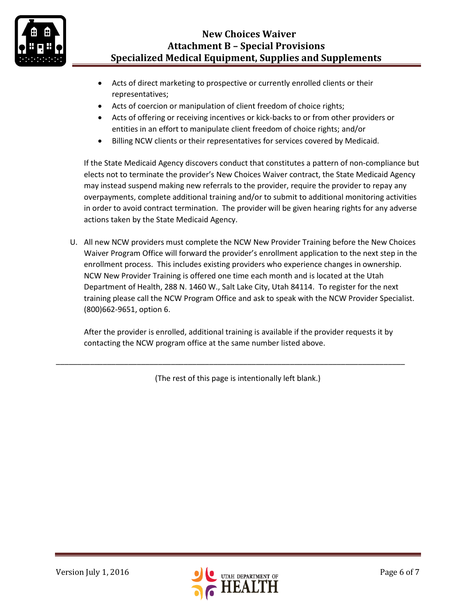

# **New Choices Waiver Attachment B – Special Provisions Specialized Medical Equipment, Supplies and Supplements**

- Acts of direct marketing to prospective or currently enrolled clients or their representatives;
- Acts of coercion or manipulation of client freedom of choice rights;
- Acts of offering or receiving incentives or kick-backs to or from other providers or entities in an effort to manipulate client freedom of choice rights; and/or
- Billing NCW clients or their representatives for services covered by Medicaid.

If the State Medicaid Agency discovers conduct that constitutes a pattern of non-compliance but elects not to terminate the provider's New Choices Waiver contract, the State Medicaid Agency may instead suspend making new referrals to the provider, require the provider to repay any overpayments, complete additional training and/or to submit to additional monitoring activities in order to avoid contract termination. The provider will be given hearing rights for any adverse actions taken by the State Medicaid Agency.

U. All new NCW providers must complete the NCW New Provider Training before the New Choices Waiver Program Office will forward the provider's enrollment application to the next step in the enrollment process. This includes existing providers who experience changes in ownership. NCW New Provider Training is offered one time each month and is located at the Utah Department of Health, 288 N. 1460 W., Salt Lake City, Utah 84114. To register for the next training please call the NCW Program Office and ask to speak with the NCW Provider Specialist. (800)662-9651, option 6.

After the provider is enrolled, additional training is available if the provider requests it by contacting the NCW program office at the same number listed above.

(The rest of this page is intentionally left blank.)

\_\_\_\_\_\_\_\_\_\_\_\_\_\_\_\_\_\_\_\_\_\_\_\_\_\_\_\_\_\_\_\_\_\_\_\_\_\_\_\_\_\_\_\_\_\_\_\_\_\_\_\_\_\_\_\_\_\_\_\_\_\_\_\_\_\_\_\_\_\_\_\_\_\_\_\_\_\_\_\_\_\_